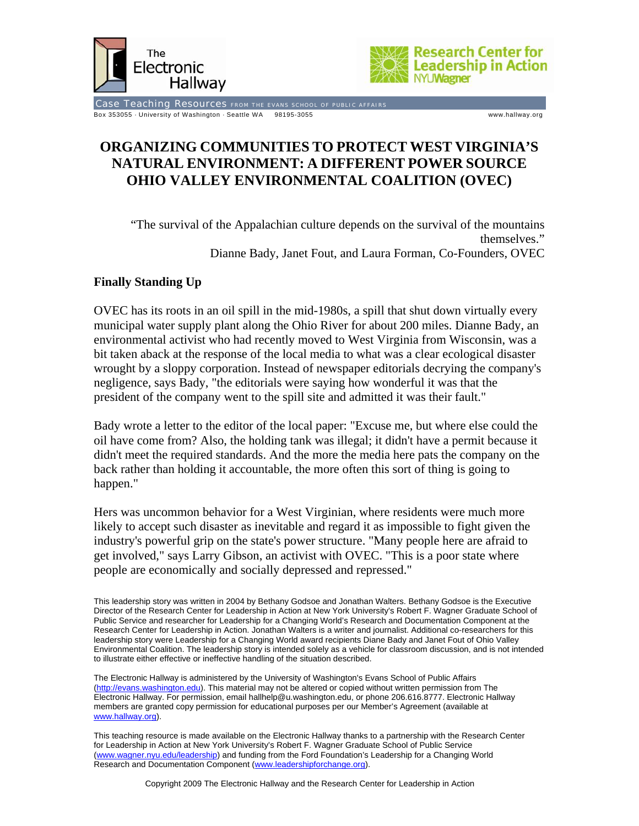



Case Teaching Resources FROM THE EVANS SCHOOL OF PUBLIC AFFAIRS Box 353055 · University of Washington · Seattle WA 98195-3055 www.hallway.org

# **ORGANIZING COMMUNITIES TO PROTECT WEST VIRGINIA'S NATURAL ENVIRONMENT: A DIFFERENT POWER SOURCE OHIO VALLEY ENVIRONMENTAL COALITION (OVEC)**

"The survival of the Appalachian culture depends on the survival of the mountains themselves." Dianne Bady, Janet Fout, and Laura Forman, Co-Founders, OVEC

# **Finally Standing Up**

OVEC has its roots in an oil spill in the mid-1980s, a spill that shut down virtually every municipal water supply plant along the Ohio River for about 200 miles. Dianne Bady, an environmental activist who had recently moved to West Virginia from Wisconsin, was a bit taken aback at the response of the local media to what was a clear ecological disaster wrought by a sloppy corporation. Instead of newspaper editorials decrying the company's negligence, says Bady, "the editorials were saying how wonderful it was that the president of the company went to the spill site and admitted it was their fault."

Bady wrote a letter to the editor of the local paper: "Excuse me, but where else could the oil have come from? Also, the holding tank was illegal; it didn't have a permit because it didn't meet the required standards. And the more the media here pats the company on the back rather than holding it accountable, the more often this sort of thing is going to happen."

Hers was uncommon behavior for a West Virginian, where residents were much more likely to accept such disaster as inevitable and regard it as impossible to fight given the industry's powerful grip on the state's power structure. "Many people here are afraid to get involved," says Larry Gibson, an activist with OVEC. "This is a poor state where people are economically and socially depressed and repressed."

This leadership story was written in 2004 by Bethany Godsoe and Jonathan Walters. Bethany Godsoe is the Executive Director of the Research Center for Leadership in Action at New York University's Robert F. Wagner Graduate School of Public Service and researcher for Leadership for a Changing World's Research and Documentation Component at the Research Center for Leadership in Action. Jonathan Walters is a writer and journalist. Additional co-researchers for this leadership story were Leadership for a Changing World award recipients Diane Bady and Janet Fout of Ohio Valley Environmental Coalition. The leadership story is intended solely as a vehicle for classroom discussion, and is not intended to illustrate either effective or ineffective handling of the situation described.

The Electronic Hallway is administered by the University of Washington's Evans School of Public Affairs (http://evans.washington.edu). This material may not be altered or copied without written permission from The Electronic Hallway. For permission, email hallhelp@u.washington.edu, or phone 206.616.8777. Electronic Hallway members are granted copy permission for educational purposes per our Member's Agreement (available at www.hallway.org).

This teaching resource is made available on the Electronic Hallway thanks to a partnership with the Research Center for Leadership in Action at New York University's Robert F. Wagner Graduate School of Public Service (www.wagner.nyu.edu/leadership) and funding from the Ford Foundation's Leadership for a Changing World Research and Documentation Component (www.leadershipforchange.org).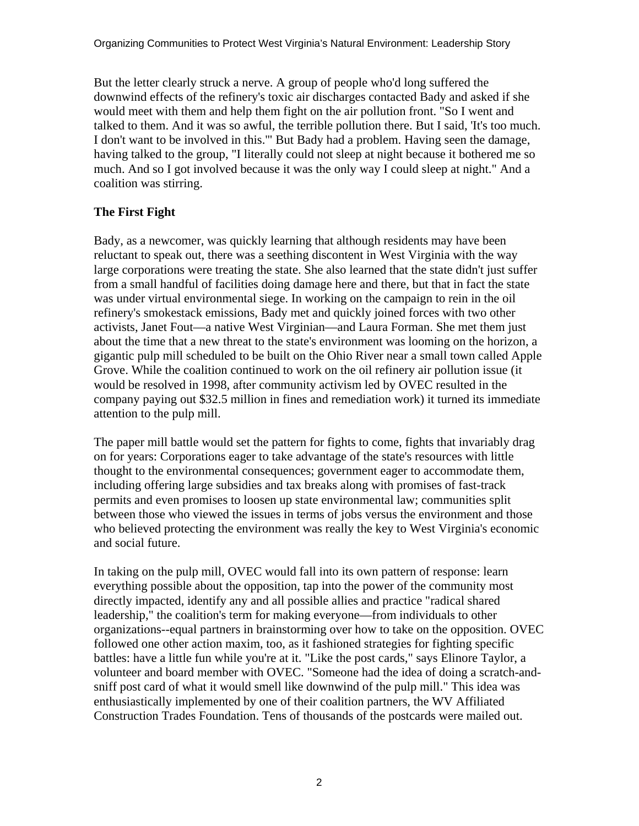But the letter clearly struck a nerve. A group of people who'd long suffered the downwind effects of the refinery's toxic air discharges contacted Bady and asked if she would meet with them and help them fight on the air pollution front. "So I went and talked to them. And it was so awful, the terrible pollution there. But I said, 'It's too much. I don't want to be involved in this.'" But Bady had a problem. Having seen the damage, having talked to the group, "I literally could not sleep at night because it bothered me so much. And so I got involved because it was the only way I could sleep at night." And a coalition was stirring.

# **The First Fight**

Bady, as a newcomer, was quickly learning that although residents may have been reluctant to speak out, there was a seething discontent in West Virginia with the way large corporations were treating the state. She also learned that the state didn't just suffer from a small handful of facilities doing damage here and there, but that in fact the state was under virtual environmental siege. In working on the campaign to rein in the oil refinery's smokestack emissions, Bady met and quickly joined forces with two other activists, Janet Fout—a native West Virginian—and Laura Forman. She met them just about the time that a new threat to the state's environment was looming on the horizon, a gigantic pulp mill scheduled to be built on the Ohio River near a small town called Apple Grove. While the coalition continued to work on the oil refinery air pollution issue (it would be resolved in 1998, after community activism led by OVEC resulted in the company paying out \$32.5 million in fines and remediation work) it turned its immediate attention to the pulp mill.

The paper mill battle would set the pattern for fights to come, fights that invariably drag on for years: Corporations eager to take advantage of the state's resources with little thought to the environmental consequences; government eager to accommodate them, including offering large subsidies and tax breaks along with promises of fast-track permits and even promises to loosen up state environmental law; communities split between those who viewed the issues in terms of jobs versus the environment and those who believed protecting the environment was really the key to West Virginia's economic and social future.

In taking on the pulp mill, OVEC would fall into its own pattern of response: learn everything possible about the opposition, tap into the power of the community most directly impacted, identify any and all possible allies and practice "radical shared leadership," the coalition's term for making everyone—from individuals to other organizations--equal partners in brainstorming over how to take on the opposition. OVEC followed one other action maxim, too, as it fashioned strategies for fighting specific battles: have a little fun while you're at it. "Like the post cards," says Elinore Taylor, a volunteer and board member with OVEC. "Someone had the idea of doing a scratch-andsniff post card of what it would smell like downwind of the pulp mill." This idea was enthusiastically implemented by one of their coalition partners, the WV Affiliated Construction Trades Foundation. Tens of thousands of the postcards were mailed out.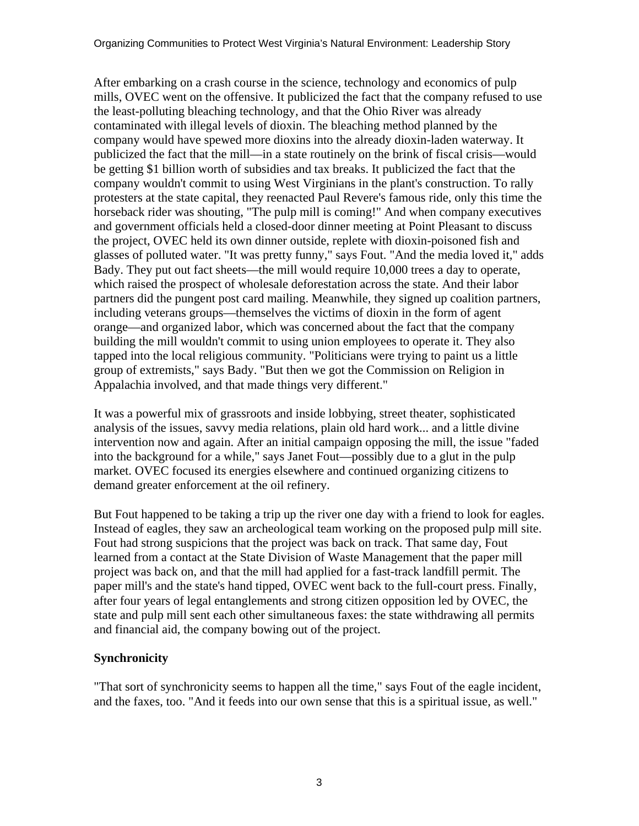After embarking on a crash course in the science, technology and economics of pulp mills, OVEC went on the offensive. It publicized the fact that the company refused to use the least-polluting bleaching technology, and that the Ohio River was already contaminated with illegal levels of dioxin. The bleaching method planned by the company would have spewed more dioxins into the already dioxin-laden waterway. It publicized the fact that the mill—in a state routinely on the brink of fiscal crisis—would be getting \$1 billion worth of subsidies and tax breaks. It publicized the fact that the company wouldn't commit to using West Virginians in the plant's construction. To rally protesters at the state capital, they reenacted Paul Revere's famous ride, only this time the horseback rider was shouting, "The pulp mill is coming!" And when company executives and government officials held a closed-door dinner meeting at Point Pleasant to discuss the project, OVEC held its own dinner outside, replete with dioxin-poisoned fish and glasses of polluted water. "It was pretty funny," says Fout. "And the media loved it," adds Bady. They put out fact sheets—the mill would require 10,000 trees a day to operate, which raised the prospect of wholesale deforestation across the state. And their labor partners did the pungent post card mailing. Meanwhile, they signed up coalition partners, including veterans groups—themselves the victims of dioxin in the form of agent orange—and organized labor, which was concerned about the fact that the company building the mill wouldn't commit to using union employees to operate it. They also tapped into the local religious community. "Politicians were trying to paint us a little group of extremists," says Bady. "But then we got the Commission on Religion in Appalachia involved, and that made things very different."

It was a powerful mix of grassroots and inside lobbying, street theater, sophisticated analysis of the issues, savvy media relations, plain old hard work... and a little divine intervention now and again. After an initial campaign opposing the mill, the issue "faded into the background for a while," says Janet Fout—possibly due to a glut in the pulp market. OVEC focused its energies elsewhere and continued organizing citizens to demand greater enforcement at the oil refinery.

But Fout happened to be taking a trip up the river one day with a friend to look for eagles. Instead of eagles, they saw an archeological team working on the proposed pulp mill site. Fout had strong suspicions that the project was back on track. That same day, Fout learned from a contact at the State Division of Waste Management that the paper mill project was back on, and that the mill had applied for a fast-track landfill permit. The paper mill's and the state's hand tipped, OVEC went back to the full-court press. Finally, after four years of legal entanglements and strong citizen opposition led by OVEC, the state and pulp mill sent each other simultaneous faxes: the state withdrawing all permits and financial aid, the company bowing out of the project.

# **Synchronicity**

"That sort of synchronicity seems to happen all the time," says Fout of the eagle incident, and the faxes, too. "And it feeds into our own sense that this is a spiritual issue, as well."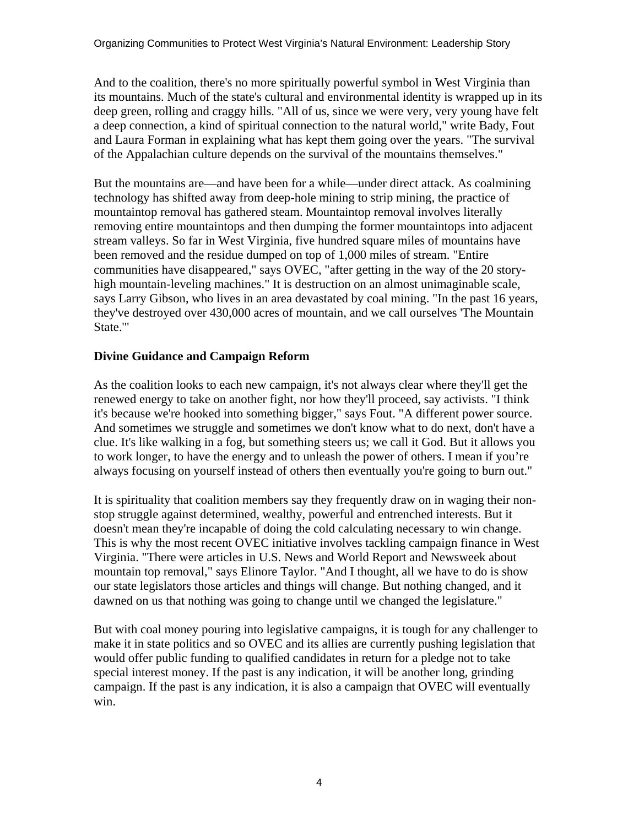And to the coalition, there's no more spiritually powerful symbol in West Virginia than its mountains. Much of the state's cultural and environmental identity is wrapped up in its deep green, rolling and craggy hills. "All of us, since we were very, very young have felt a deep connection, a kind of spiritual connection to the natural world," write Bady, Fout and Laura Forman in explaining what has kept them going over the years. "The survival of the Appalachian culture depends on the survival of the mountains themselves."

But the mountains are—and have been for a while—under direct attack. As coalmining technology has shifted away from deep-hole mining to strip mining, the practice of mountaintop removal has gathered steam. Mountaintop removal involves literally removing entire mountaintops and then dumping the former mountaintops into adjacent stream valleys. So far in West Virginia, five hundred square miles of mountains have been removed and the residue dumped on top of 1,000 miles of stream. "Entire communities have disappeared," says OVEC, "after getting in the way of the 20 storyhigh mountain-leveling machines." It is destruction on an almost unimaginable scale, says Larry Gibson, who lives in an area devastated by coal mining. "In the past 16 years, they've destroyed over 430,000 acres of mountain, and we call ourselves 'The Mountain State.'"

# **Divine Guidance and Campaign Reform**

As the coalition looks to each new campaign, it's not always clear where they'll get the renewed energy to take on another fight, nor how they'll proceed, say activists. "I think it's because we're hooked into something bigger," says Fout. "A different power source. And sometimes we struggle and sometimes we don't know what to do next, don't have a clue. It's like walking in a fog, but something steers us; we call it God. But it allows you to work longer, to have the energy and to unleash the power of others. I mean if you're always focusing on yourself instead of others then eventually you're going to burn out."

It is spirituality that coalition members say they frequently draw on in waging their nonstop struggle against determined, wealthy, powerful and entrenched interests. But it doesn't mean they're incapable of doing the cold calculating necessary to win change. This is why the most recent OVEC initiative involves tackling campaign finance in West Virginia. "There were articles in U.S. News and World Report and Newsweek about mountain top removal," says Elinore Taylor. "And I thought, all we have to do is show our state legislators those articles and things will change. But nothing changed, and it dawned on us that nothing was going to change until we changed the legislature."

But with coal money pouring into legislative campaigns, it is tough for any challenger to make it in state politics and so OVEC and its allies are currently pushing legislation that would offer public funding to qualified candidates in return for a pledge not to take special interest money. If the past is any indication, it will be another long, grinding campaign. If the past is any indication, it is also a campaign that OVEC will eventually win.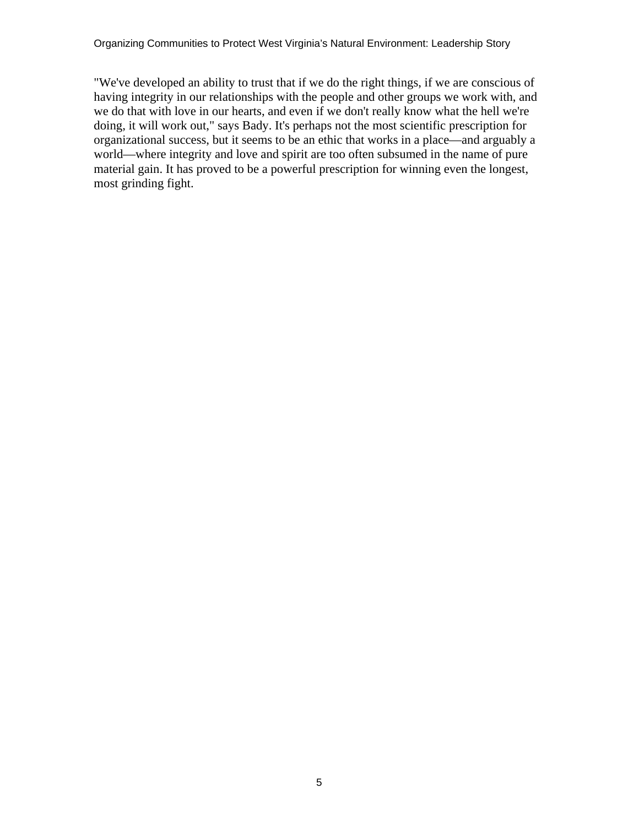"We've developed an ability to trust that if we do the right things, if we are conscious of having integrity in our relationships with the people and other groups we work with, and we do that with love in our hearts, and even if we don't really know what the hell we're doing, it will work out," says Bady. It's perhaps not the most scientific prescription for organizational success, but it seems to be an ethic that works in a place—and arguably a world—where integrity and love and spirit are too often subsumed in the name of pure material gain. It has proved to be a powerful prescription for winning even the longest, most grinding fight.